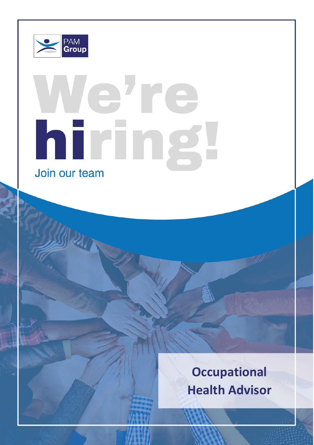

# lehre hiring Join our team

**Occupational Health Advisor**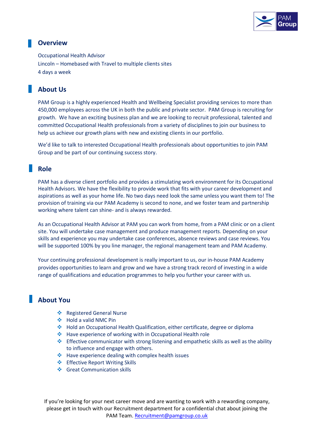

## **Overview**

Occupational Health Advisor Lincoln – Homebased with Travel to multiple clients sites 4 days a week

# **About Us**

PAM Group is a highly experienced Health and Wellbeing Specialist providing services to more than 450,000 employees across the UK in both the public and private sector. PAM Group is recruiting for growth. We have an exciting business plan and we are looking to recruit professional, talented and committed Occupational Health professionals from a variety of disciplines to join our business to help us achieve our growth plans with new and existing clients in our portfolio.

We'd like to talk to interested Occupational Health professionals about opportunities to join PAM Group and be part of our continuing success story.

### **Role**

PAM has a diverse client portfolio and provides a stimulating work environment for its Occupational Health Advisors. We have the flexibility to provide work that fits with your career development and aspirations as well as your home life. No two days need look the same unless you want them to! The provision of training via our PAM Academy is second to none, and we foster team and partnership working where talent can shine- and is always rewarded.

As an Occupational Health Advisor at PAM you can work from home, from a PAM clinic or on a client site. You will undertake case management and produce management reports. Depending on your skills and experience you may undertake case conferences, absence reviews and case reviews. You will be supported 100% by you line manager, the regional management team and PAM Academy.

Your continuing professional development is really important to us, our in-house PAM Academy provides opportunities to learn and grow and we have a strong track record of investing in a wide range of qualifications and education programmes to help you further your career with us.

# **About You**

- ❖ Registered General Nurse
- ❖ Hold a valid NMC Pin
- ❖ Hold an Occupational Health Qualification, either certificate, degree or diploma
- ❖ Have experience of working with in Occupational Health role
- ❖ Effective communicator with strong listening and empathetic skills as well as the ability to influence and engage with others.
- ❖ Have experience dealing with complex health issues
- ❖ Effective Report Writing Skills
- ❖ Great Communication skills

If you're looking for your next career move and are wanting to work with a rewarding company, please get in touch with our Recruitment department for a confidential chat about joining the PAM Team. [Recruitment@pamgroup.co.uk](mailto:Recruitment@pamgroup.co.uk)